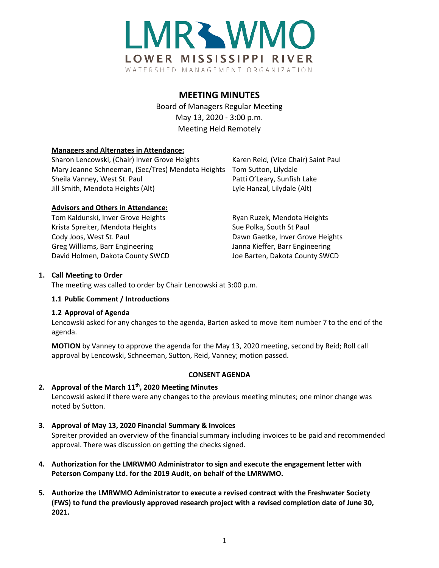

# **MEETING MINUTES**

Board of Managers Regular Meeting May 13, 2020 - 3:00 p.m. Meeting Held Remotely

## **Managers and Alternates in Attendance:**

Sharon Lencowski, (Chair) Inver Grove Heights Karen Reid, (Vice Chair) Saint Paul Mary Jeanne Schneeman, (Sec/Tres) Mendota Heights Tom Sutton, Lilydale Sheila Vanney, West St. Paul Patti O'Leary, Sunfish Lake Jill Smith, Mendota Heights (Alt) Lyle Hanzal, Lilydale (Alt)

## **Advisors and Others in Attendance:**

Tom Kaldunski, Inver Grove Heights **Ryan Ruzek, Mendota Heights** Ryan Ruzek, Mendota Heights Krista Spreiter, Mendota Heights Sue Polka, South St Paul Cody Joos, West St. Paul **Dawn Gaetke, Inver Grove Heights** Greg Williams, Barr Engineering The Manna Kieffer, Barr Engineering David Holmen, Dakota County SWCD Joe Barten, Dakota County SWCD

# **1. Call Meeting to Order**

The meeting was called to order by Chair Lencowski at 3:00 p.m.

## **1.1 Public Comment / Introductions**

## **1.2 Approval of Agenda**

Lencowski asked for any changes to the agenda, Barten asked to move item number 7 to the end of the agenda.

**MOTION** by Vanney to approve the agenda for the May 13, 2020 meeting, second by Reid; Roll call approval by Lencowski, Schneeman, Sutton, Reid, Vanney; motion passed.

# **CONSENT AGENDA**

# 2. Approval of the March 11<sup>th</sup>, 2020 Meeting Minutes

Lencowski asked if there were any changes to the previous meeting minutes; one minor change was noted by Sutton.

**3. Approval of May 13, 2020 Financial Summary & Invoices** 

Spreiter provided an overview of the financial summary including invoices to be paid and recommended approval. There was discussion on getting the checks signed.

- **4. Authorization for the LMRWMO Administrator to sign and execute the engagement letter with Peterson Company Ltd. for the 2019 Audit, on behalf of the LMRWMO.**
- **5. Authorize the LMRWMO Administrator to execute a revised contract with the Freshwater Society (FWS) to fund the previously approved research project with a revised completion date of June 30, 2021.**